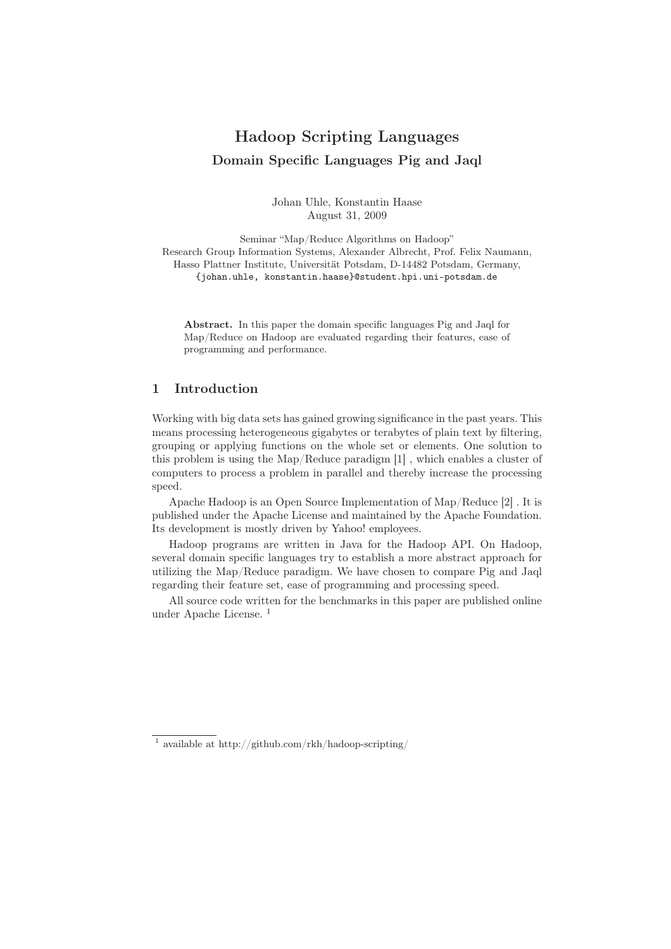# Hadoop Scripting Languages Domain Specific Languages Pig and Jaql

Johan Uhle, Konstantin Haase August 31, 2009

Seminar "Map/Reduce Algorithms on Hadoop" Research Group Information Systems, Alexander Albrecht, Prof. Felix Naumann, Hasso Plattner Institute, Universität Potsdam, D-14482 Potsdam, Germany, {johan.uhle, konstantin.haase}@student.hpi.uni-potsdam.de

Abstract. In this paper the domain specific languages Pig and Jaql for Map/Reduce on Hadoop are evaluated regarding their features, ease of programming and performance.

### 1 Introduction

Working with big data sets has gained growing significance in the past years. This means processing heterogeneous gigabytes or terabytes of plain text by filtering, grouping or applying functions on the whole set or elements. One solution to this problem is using the Map/Reduce paradigm [1] , which enables a cluster of computers to process a problem in parallel and thereby increase the processing speed.

Apache Hadoop is an Open Source Implementation of Map/Reduce [2] . It is published under the Apache License and maintained by the Apache Foundation. Its development is mostly driven by Yahoo! employees.

Hadoop programs are written in Java for the Hadoop API. On Hadoop, several domain specific languages try to establish a more abstract approach for utilizing the Map/Reduce paradigm. We have chosen to compare Pig and Jaql regarding their feature set, ease of programming and processing speed.

All source code written for the benchmarks in this paper are published online under Apache License. <sup>1</sup>

 $^1$ available at http://github.com/rkh/hadoop-scripting/  $\,$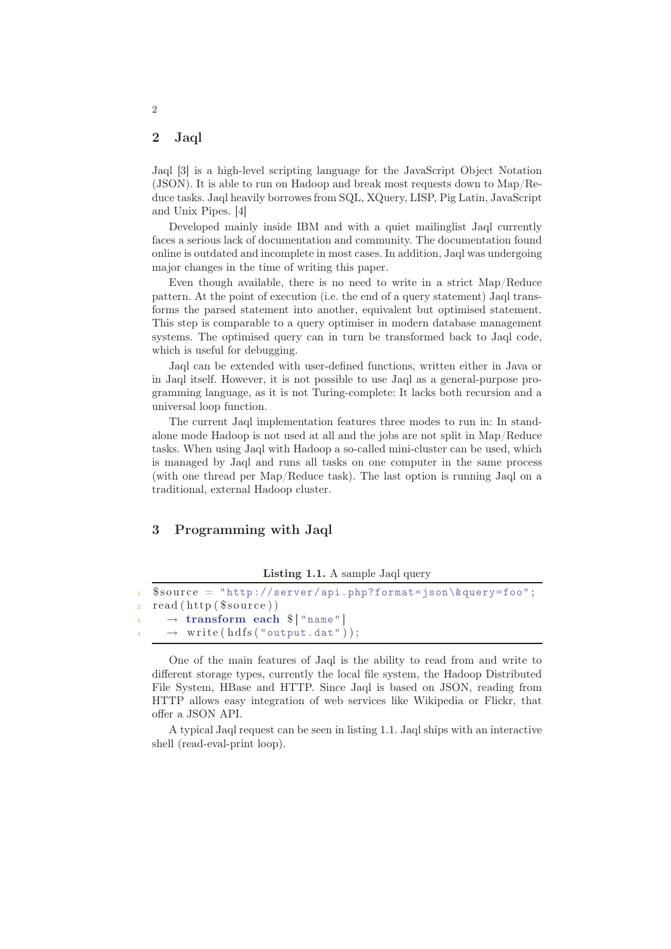#### 2 Jaql

Jaql [3] is a high-level scripting language for the JavaScript Object Notation (JSON). It is able to run on Hadoop and break most requests down to Map/Reduce tasks. Jaql heavily borrowes from SQL, XQuery, LISP, Pig Latin, JavaScript and Unix Pipes. [4]

Developed mainly inside IBM and with a quiet mailinglist Jaql currently faces a serious lack of documentation and community. The documentation found online is outdated and incomplete in most cases. In addition, Jaql was undergoing major changes in the time of writing this paper.

Even though available, there is no need to write in a strict Map/Reduce pattern. At the point of execution (i.e. the end of a query statement) Jaql transforms the parsed statement into another, equivalent but optimised statement. This step is comparable to a query optimiser in modern database management systems. The optimised query can in turn be transformed back to Jaql code, which is useful for debugging.

Jaql can be extended with user-defined functions, written either in Java or in Jaql itself. However, it is not possible to use Jaql as a general-purpose programming language, as it is not Turing-complete: It lacks both recursion and a universal loop function.

The current Jaql implementation features three modes to run in: In standalone mode Hadoop is not used at all and the jobs are not split in Map/Reduce tasks. When using Jaql with Hadoop a so-called mini-cluster can be used, which is managed by Jaql and runs all tasks on one computer in the same process (with one thread per Map/Reduce task). The last option is running Jaql on a traditional, external Hadoop cluster.

#### 3 Programming with Jaql

Listing 1.1. A sample Jaql query

```
\text{\$source} = \text{\$http://server/api.php?format=json\&query=foo";}2 read ( http ( $ s o u r c e ) )
\overline{\mathcal{B}} \rightarrow transform each \mathcal{S} ["name"]
           write(hdfs("output.dat"));
```
One of the main features of Jaql is the ability to read from and write to different storage types, currently the local file system, the Hadoop Distributed File System, HBase and HTTP. Since Jaql is based on JSON, reading from HTTP allows easy integration of web services like Wikipedia or Flickr, that offer a JSON API.

A typical Jaql request can be seen in listing 1.1. Jaql ships with an interactive shell (read-eval-print loop).

2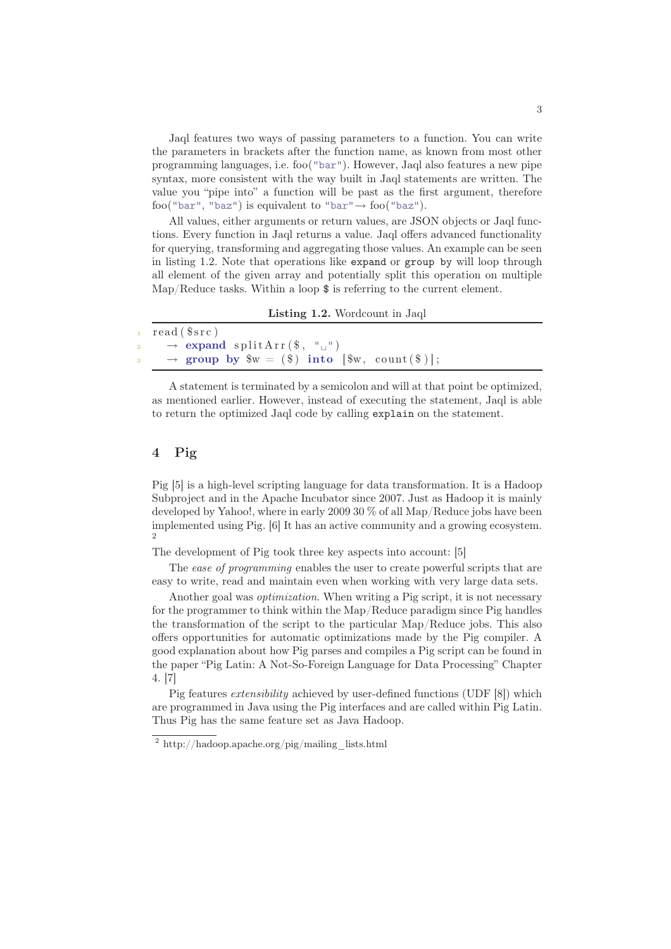Jaql features two ways of passing parameters to a function. You can write the parameters in brackets after the function name, as known from most other programming languages, i.e. foo("bar"). However, Jaql also features a new pipe syntax, more consistent with the way built in Jaql statements are written. The value you "pipe into" a function will be past as the first argument, therefore foo("bar", "baz") is equivalent to "bar" $\rightarrow$  foo("baz").

All values, either arguments or return values, are JSON objects or Jaql functions. Every function in Jaql returns a value. Jaql offers advanced functionality for querying, transforming and aggregating those values. An example can be seen in listing 1.2. Note that operations like expand or group by will loop through all element of the given array and potentially split this operation on multiple Map/Reduce tasks. Within a loop \$ is referring to the current element.

Listing 1.2. Wordcount in Jaql

| read(Ssrc)                                                  |
|-------------------------------------------------------------|
| $\rightarrow$ expand splitArr(\$, " $\Box$ ")               |
| $\rightarrow$ group by $w = (\$)$ into $[\$w, count(\$)]$ ; |

A statement is terminated by a semicolon and will at that point be optimized, as mentioned earlier. However, instead of executing the statement, Jaql is able to return the optimized Jaql code by calling explain on the statement.

### 4 Pig

Pig [5] is a high-level scripting language for data transformation. It is a Hadoop Subproject and in the Apache Incubator since 2007. Just as Hadoop it is mainly developed by Yahoo!, where in early 2009 30 % of all Map/Reduce jobs have been implemented using Pig. [6] It has an active community and a growing ecosystem.  $\overline{2}$ 

The development of Pig took three key aspects into account: [5]

The ease of programming enables the user to create powerful scripts that are easy to write, read and maintain even when working with very large data sets.

Another goal was optimization. When writing a Pig script, it is not necessary for the programmer to think within the Map/Reduce paradigm since Pig handles the transformation of the script to the particular Map/Reduce jobs. This also offers opportunities for automatic optimizations made by the Pig compiler. A good explanation about how Pig parses and compiles a Pig script can be found in the paper "Pig Latin: A Not-So-Foreign Language for Data Processing" Chapter 4. [7]

Pig features extensibility achieved by user-defined functions (UDF [8]) which are programmed in Java using the Pig interfaces and are called within Pig Latin. Thus Pig has the same feature set as Java Hadoop.

<sup>2</sup> http://hadoop.apache.org/pig/mailing\_lists.html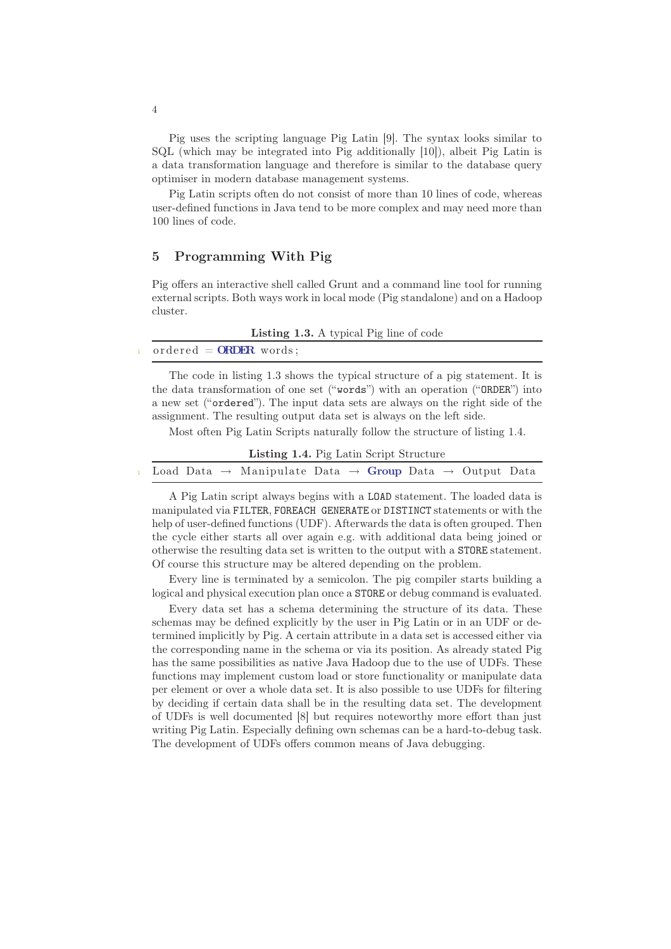Pig uses the scripting language Pig Latin [9]. The syntax looks similar to SQL (which may be integrated into Pig additionally [10]), albeit Pig Latin is a data transformation language and therefore is similar to the database query optimiser in modern database management systems.

Pig Latin scripts often do not consist of more than 10 lines of code, whereas user-defined functions in Java tend to be more complex and may need more than 100 lines of code.

### 5 Programming With Pig

Pig offers an interactive shell called Grunt and a command line tool for running external scripts. Both ways work in local mode (Pig standalone) and on a Hadoop cluster.

| <b>Listing 1.3.</b> A typical Pig line of code |  |  |  |  |  |  |
|------------------------------------------------|--|--|--|--|--|--|
|------------------------------------------------|--|--|--|--|--|--|

 $\mathrm{ordered} = \mathrm{ORDER} \ \mathrm{words}$ ;

The code in listing 1.3 shows the typical structure of a pig statement. It is the data transformation of one set ("words") with an operation ("ORDER") into a new set ("ordered"). The input data sets are always on the right side of the assignment. The resulting output data set is always on the left side.

Most often Pig Latin Scripts naturally follow the structure of listing 1.4.

| Listing 1.4. Pig Latin Script Structure |  |  |                                                                                              |  |  |  |  |  |  |  |
|-----------------------------------------|--|--|----------------------------------------------------------------------------------------------|--|--|--|--|--|--|--|
|                                         |  |  | 1 Load Data $\rightarrow$ Manipulate Data $\rightarrow$ Group Data $\rightarrow$ Output Data |  |  |  |  |  |  |  |

A Pig Latin script always begins with a LOAD statement. The loaded data is manipulated via FILTER, FOREACH GENERATE or DISTINCT statements or with the help of user-defined functions (UDF). Afterwards the data is often grouped. Then the cycle either starts all over again e.g. with additional data being joined or otherwise the resulting data set is written to the output with a STORE statement. Of course this structure may be altered depending on the problem.

Every line is terminated by a semicolon. The pig compiler starts building a logical and physical execution plan once a STORE or debug command is evaluated.

Every data set has a schema determining the structure of its data. These schemas may be defined explicitly by the user in Pig Latin or in an UDF or determined implicitly by Pig. A certain attribute in a data set is accessed either via the corresponding name in the schema or via its position. As already stated Pig has the same possibilities as native Java Hadoop due to the use of UDFs. These functions may implement custom load or store functionality or manipulate data per element or over a whole data set. It is also possible to use UDFs for filtering by deciding if certain data shall be in the resulting data set. The development of UDFs is well documented [8] but requires noteworthy more effort than just writing Pig Latin. Especially defining own schemas can be a hard-to-debug task. The development of UDFs offers common means of Java debugging.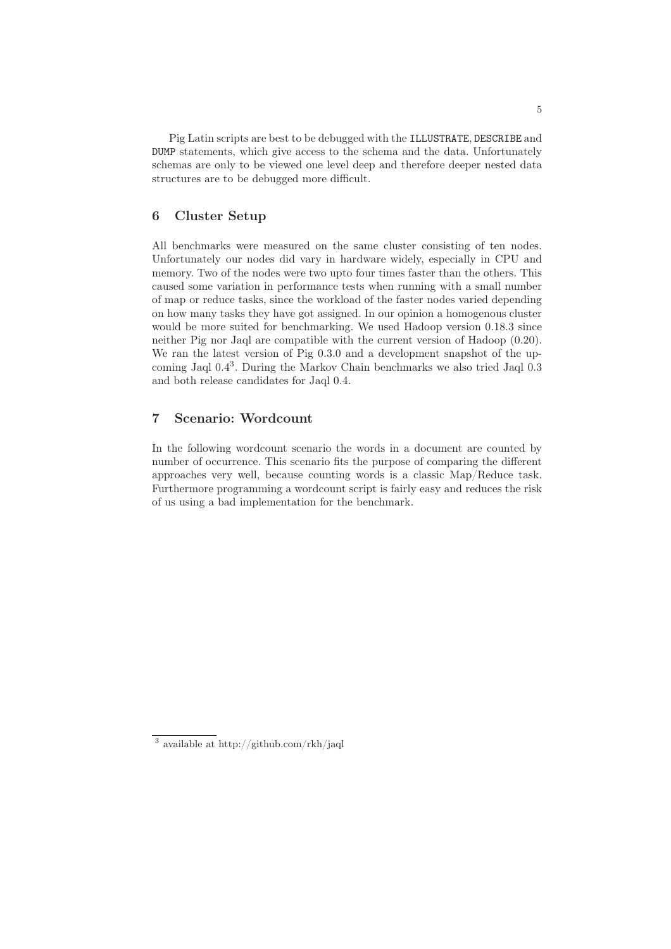Pig Latin scripts are best to be debugged with the ILLUSTRATE, DESCRIBE and DUMP statements, which give access to the schema and the data. Unfortunately schemas are only to be viewed one level deep and therefore deeper nested data structures are to be debugged more difficult.

### 6 Cluster Setup

All benchmarks were measured on the same cluster consisting of ten nodes. Unfortunately our nodes did vary in hardware widely, especially in CPU and memory. Two of the nodes were two upto four times faster than the others. This caused some variation in performance tests when running with a small number of map or reduce tasks, since the workload of the faster nodes varied depending on how many tasks they have got assigned. In our opinion a homogenous cluster would be more suited for benchmarking. We used Hadoop version 0.18.3 since neither Pig nor Jaql are compatible with the current version of Hadoop (0.20). We ran the latest version of Pig 0.3.0 and a development snapshot of the upcoming Jaql 0.4<sup>3</sup> . During the Markov Chain benchmarks we also tried Jaql 0.3 and both release candidates for Jaql 0.4.

#### 7 Scenario: Wordcount

In the following wordcount scenario the words in a document are counted by number of occurrence. This scenario fits the purpose of comparing the different approaches very well, because counting words is a classic Map/Reduce task. Furthermore programming a wordcount script is fairly easy and reduces the risk of us using a bad implementation for the benchmark.

<sup>3</sup> available at http://github.com/rkh/jaql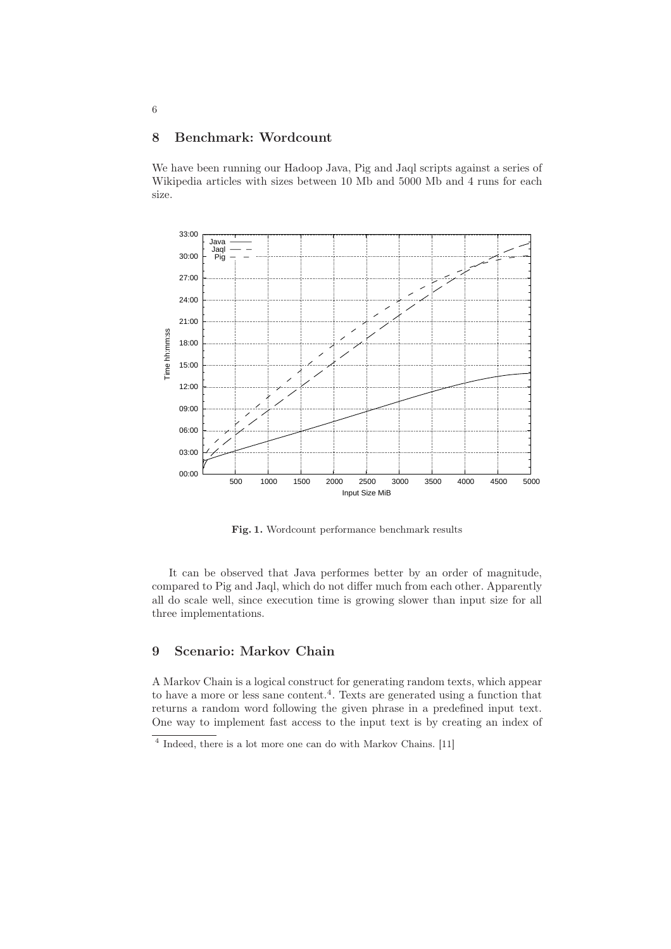### 8 Benchmark: Wordcount

We have been running our Hadoop Java, Pig and Jaql scripts against a series of Wikipedia articles with sizes between 10 Mb and 5000 Mb and 4 runs for each size.



Fig. 1. Wordcount performance benchmark results

It can be observed that Java performes better by an order of magnitude, compared to Pig and Jaql, which do not differ much from each other. Apparently all do scale well, since execution time is growing slower than input size for all three implementations.

## 9 Scenario: Markov Chain

A Markov Chain is a logical construct for generating random texts, which appear to have a more or less sane content.<sup>4</sup>. Texts are generated using a function that returns a random word following the given phrase in a predefined input text. One way to implement fast access to the input text is by creating an index of

6

<sup>4</sup> Indeed, there is a lot more one can do with Markov Chains. [11]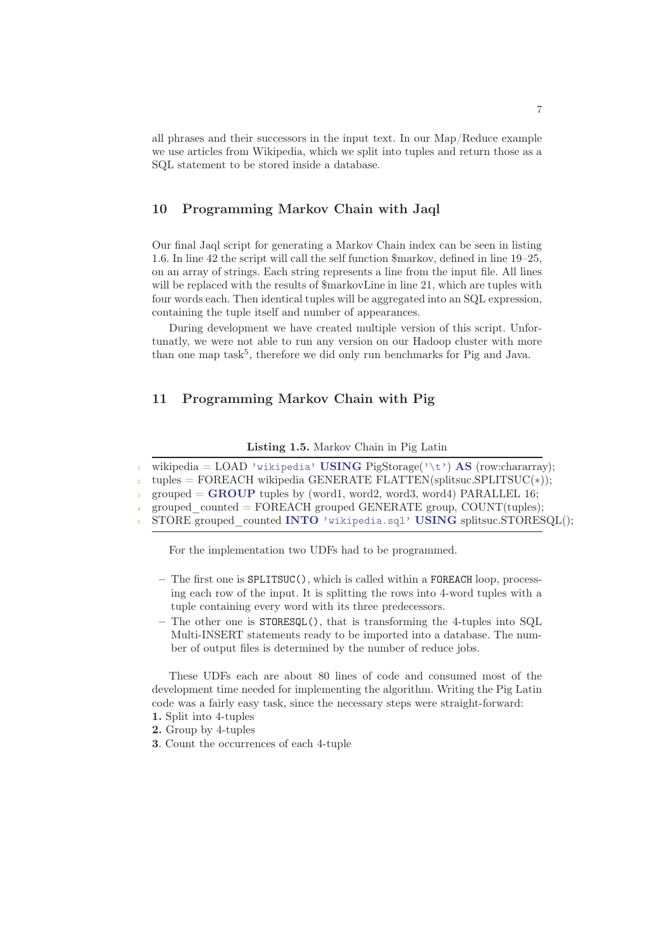all phrases and their successors in the input text. In our Map/Reduce example we use articles from Wikipedia, which we split into tuples and return those as a SQL statement to be stored inside a database.

#### 10 Programming Markov Chain with Jaql

Our final Jaql script for generating a Markov Chain index can be seen in listing 1.6. In line 42 the script will call the self function \$markov, defined in line 19–25, on an array of strings. Each string represents a line from the input file. All lines will be replaced with the results of  $\frac{1}{2}$  markovLine in line 21, which are tuples with four words each. Then identical tuples will be aggregated into an SQL expression, containing the tuple itself and number of appearances.

During development we have created multiple version of this script. Unfortunatly, we were not able to run any version on our Hadoop cluster with more than one map task<sup>5</sup>, therefore we did only run benchmarks for Pig and Java.

#### 11 Programming Markov Chain with Pig

#### Listing 1.5. Markov Chain in Pig Latin

wikipedia = LOAD 'wikipedia' USING PigStorage('\t') AS (row:chararray);

 $tuples = FOREACH$  wikipedia GENERATE FLATTEN(splitsuc.SPLITSUC(\*));

 $\text{grouped} = \text{GROUP}$  tuples by (word1, word2, word3, word4) PARALLEL 16;

grouped  $counted = FOREACH$  grouped GENERATE group, COUNT(tuples);

STORE grouped counted INTO 'wikipedia.sql' USING splitsuc.STORESQL();

For the implementation two UDFs had to be programmed.

- The first one is SPLITSUC(), which is called within a FOREACH loop, processing each row of the input. It is splitting the rows into 4-word tuples with a tuple containing every word with its three predecessors.
- The other one is STORESQL(), that is transforming the 4-tuples into SQL Multi-INSERT statements ready to be imported into a database. The number of output files is determined by the number of reduce jobs.

These UDFs each are about 80 lines of code and consumed most of the development time needed for implementing the algorithm. Writing the Pig Latin code was a fairly easy task, since the necessary steps were straight-forward:

- 1. Split into 4-tuples
- 2. Group by 4-tuples
- 3. Count the occurrences of each 4-tuple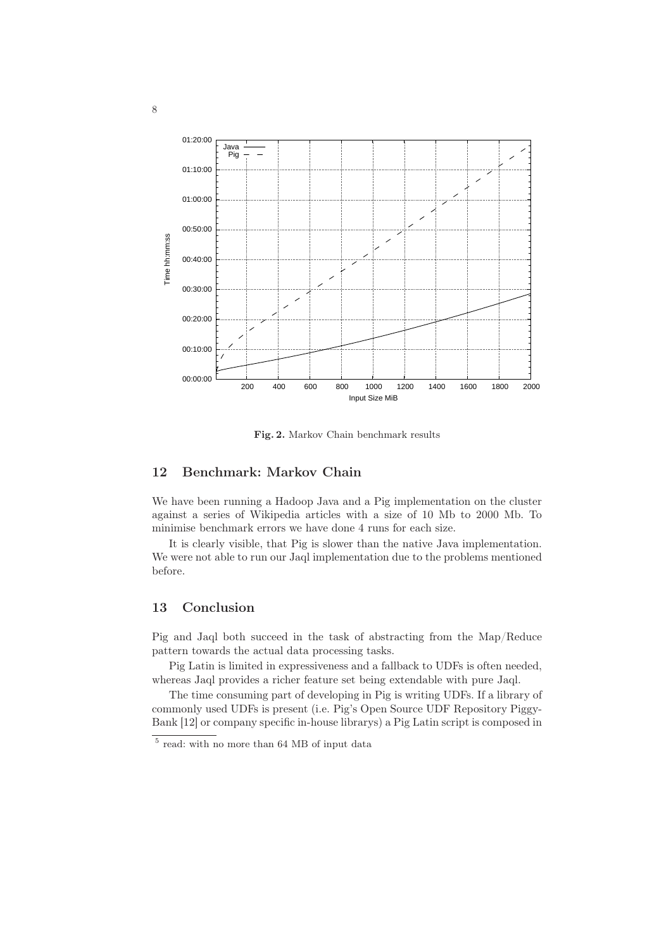

Fig. 2. Markov Chain benchmark results

#### 12 Benchmark: Markov Chain

We have been running a Hadoop Java and a Pig implementation on the cluster against a series of Wikipedia articles with a size of 10 Mb to 2000 Mb. To minimise benchmark errors we have done 4 runs for each size.

It is clearly visible, that Pig is slower than the native Java implementation. We were not able to run our Jaql implementation due to the problems mentioned before.

#### 13 Conclusion

Pig and Jaql both succeed in the task of abstracting from the Map/Reduce pattern towards the actual data processing tasks.

Pig Latin is limited in expressiveness and a fallback to UDFs is often needed, whereas Jaql provides a richer feature set being extendable with pure Jaql.

The time consuming part of developing in Pig is writing UDFs. If a library of commonly used UDFs is present (i.e. Pig's Open Source UDF Repository Piggy-Bank [12] or company specific in-house librarys) a Pig Latin script is composed in

 $^5$  read: with no more than 64 MB of input data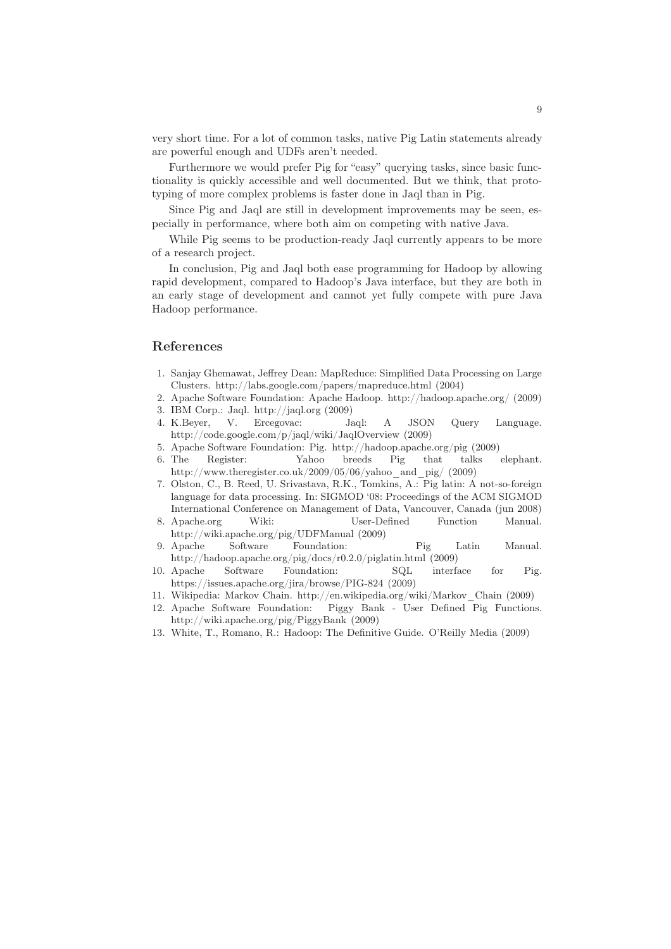very short time. For a lot of common tasks, native Pig Latin statements already are powerful enough and UDFs aren't needed.

Furthermore we would prefer Pig for "easy" querying tasks, since basic functionality is quickly accessible and well documented. But we think, that prototyping of more complex problems is faster done in Jaql than in Pig.

Since Pig and Jaql are still in development improvements may be seen, especially in performance, where both aim on competing with native Java.

While Pig seems to be production-ready Jaql currently appears to be more of a research project.

In conclusion, Pig and Jaql both ease programming for Hadoop by allowing rapid development, compared to Hadoop's Java interface, but they are both in an early stage of development and cannot yet fully compete with pure Java Hadoop performance.

#### References

- 1. Sanjay Ghemawat, Jeffrey Dean: MapReduce: Simplified Data Processing on Large Clusters. http://labs.google.com/papers/mapreduce.html (2004)
- 2. Apache Software Foundation: Apache Hadoop. http://hadoop.apache.org/ (2009)
- 3. IBM Corp.: Jaql. http://jaql.org (2009)
- 4. K.Beyer, V. Ercegovac: Jaql: A JSON Query Language. http://code.google.com/p/jaql/wiki/JaqlOverview (2009)
- 5. Apache Software Foundation: Pig. http://hadoop.apache.org/pig (2009)
- 6. The Register: Yahoo breeds Pig that talks elephant. http://www.theregister.co.uk/2009/05/06/yahoo\_and\_pig/ (2009)
- 7. Olston, C., B. Reed, U. Srivastava, R.K., Tomkins, A.: Pig latin: A not-so-foreign language for data processing. In: SIGMOD '08: Proceedings of the ACM SIGMOD International Conference on Management of Data, Vancouver, Canada (jun 2008)
- 8. Apache.org Wiki: User-Defined Function Manual. http://wiki.apache.org/pig/UDFManual (2009)
- 9. Apache Software Foundation: Pig Latin Manual. http://hadoop.apache.org/pig/docs/r0.2.0/piglatin.html (2009)
- 10. Apache Software Foundation: SQL interface for Pig. https://issues.apache.org/jira/browse/PIG-824 (2009)
- 11. Wikipedia: Markov Chain. http://en.wikipedia.org/wiki/Markov\_Chain (2009)
- 12. Apache Software Foundation: Piggy Bank User Defined Pig Functions. http://wiki.apache.org/pig/PiggyBank (2009)
- 13. White, T., Romano, R.: Hadoop: The Definitive Guide. O'Reilly Media (2009)